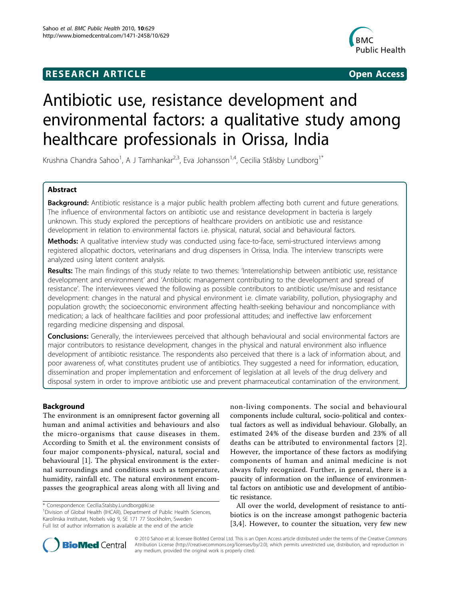## **RESEARCH ARTICLE Example 2018 12:00 Department of the Contract Open Access**



# Antibiotic use, resistance development and environmental factors: a qualitative study among healthcare professionals in Orissa, India

Krushna Chandra Sahoo<sup>1</sup>, A J Tamhankar<sup>2,3</sup>, Eva Johansson<sup>1,4</sup>, Cecilia Stålsby Lundborg<sup>1\*</sup>

## Abstract

Background: Antibiotic resistance is a major public health problem affecting both current and future generations. The influence of environmental factors on antibiotic use and resistance development in bacteria is largely unknown. This study explored the perceptions of healthcare providers on antibiotic use and resistance development in relation to environmental factors i.e. physical, natural, social and behavioural factors.

Methods: A qualitative interview study was conducted using face-to-face, semi-structured interviews among registered allopathic doctors, veterinarians and drug dispensers in Orissa, India. The interview transcripts were analyzed using latent content analysis.

Results: The main findings of this study relate to two themes: 'Interrelationship between antibiotic use, resistance development and environment' and 'Antibiotic management contributing to the development and spread of resistance'. The interviewees viewed the following as possible contributors to antibiotic use/misuse and resistance development: changes in the natural and physical environment i.e. climate variability, pollution, physiography and population growth; the socioeconomic environment affecting health-seeking behaviour and noncompliance with medication; a lack of healthcare facilities and poor professional attitudes; and ineffective law enforcement regarding medicine dispensing and disposal.

Conclusions: Generally, the interviewees perceived that although behavioural and social environmental factors are major contributors to resistance development, changes in the physical and natural environment also influence development of antibiotic resistance. The respondents also perceived that there is a lack of information about, and poor awareness of, what constitutes prudent use of antibiotics. They suggested a need for information, education, dissemination and proper implementation and enforcement of legislation at all levels of the drug delivery and disposal system in order to improve antibiotic use and prevent pharmaceutical contamination of the environment.

## Background

The environment is an omnipresent factor governing all human and animal activities and behaviours and also the micro-organisms that cause diseases in them. According to Smith et al. the environment consists of four major components-physical, natural, social and behavioural [[1\]](#page-8-0). The physical environment is the external surroundings and conditions such as temperature, humidity, rainfall etc. The natural environment encompasses the geographical areas along with all living and

non-living components. The social and behavioural components include cultural, socio-political and contextual factors as well as individual behaviour. Globally, an estimated 24% of the disease burden and 23% of all deaths can be attributed to environmental factors [[2](#page-8-0)]. However, the importance of these factors as modifying components of human and animal medicine is not always fully recognized. Further, in general, there is a paucity of information on the influence of environmental factors on antibiotic use and development of antibiotic resistance.

All over the world, development of resistance to antibiotics is on the increase amongst pathogenic bacteria [[3](#page-8-0),[4\]](#page-8-0). However, to counter the situation, very few new



© 2010 Sahoo et al; licensee BioMed Central Ltd. This is an Open Access article distributed under the terms of the Creative Commons Attribution License [\(http://creativecommons.org/licenses/by/2.0](http://creativecommons.org/licenses/by/2.0)), which permits unrestricted use, distribution, and reproduction in any medium, provided the original work is properly cited.

<sup>\*</sup> Correspondence: [Cecilia.Stalsby.Lundborg@ki.se](mailto:Cecilia.Stalsby.Lundborg@ki.se)

<sup>&</sup>lt;sup>1</sup> Division of Global Health (IHCAR), Department of Public Health Sciences, Karolinska Institutet, Nobels väg 9, SE 171 77 Stockholm, Sweden Full list of author information is available at the end of the article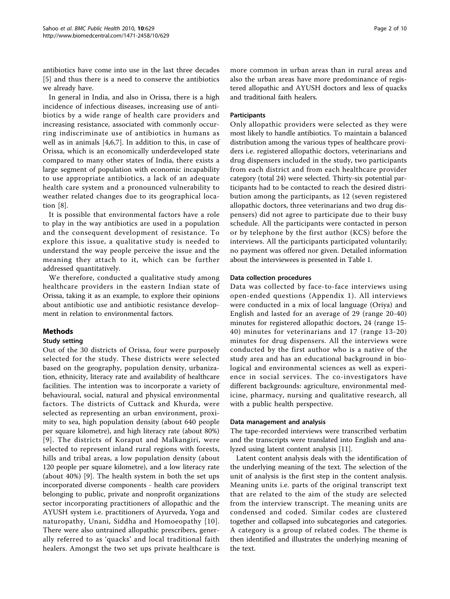antibiotics have come into use in the last three decades [[5](#page-8-0)] and thus there is a need to conserve the antibiotics we already have.

In general in India, and also in Orissa, there is a high incidence of infectious diseases, increasing use of antibiotics by a wide range of health care providers and increasing resistance, associated with commonly occurring indiscriminate use of antibiotics in humans as well as in animals [[4,6,7](#page-8-0)]. In addition to this, in case of Orissa, which is an economically underdeveloped state compared to many other states of India, there exists a large segment of population with economic incapability to use appropriate antibiotics, a lack of an adequate health care system and a pronounced vulnerability to weather related changes due to its geographical location [[8\]](#page-8-0).

It is possible that environmental factors have a role to play in the way antibiotics are used in a population and the consequent development of resistance. To explore this issue, a qualitative study is needed to understand the way people perceive the issue and the meaning they attach to it, which can be further addressed quantitatively.

We therefore, conducted a qualitative study among healthcare providers in the eastern Indian state of Orissa, taking it as an example, to explore their opinions about antibiotic use and antibiotic resistance development in relation to environmental factors.

## Methods

#### Study setting

Out of the 30 districts of Orissa, four were purposely selected for the study. These districts were selected based on the geography, population density, urbanization, ethnicity, literacy rate and availability of healthcare facilities. The intention was to incorporate a variety of behavioural, social, natural and physical environmental factors. The districts of Cuttack and Khurda, were selected as representing an urban environment, proximity to sea, high population density (about 640 people per square kilometre), and high literacy rate (about 80%) [[9\]](#page-8-0). The districts of Koraput and Malkangiri, were selected to represent inland rural regions with forests, hills and tribal areas, a low population density (about 120 people per square kilometre), and a low literacy rate (about 40%) [\[9](#page-8-0)]. The health system in both the set ups incorporated diverse components - health care providers belonging to public, private and nonprofit organizations sector incorporating practitioners of allopathic and the AYUSH system i.e. practitioners of Ayurveda, Yoga and naturopathy, Unani, Siddha and Homoeopathy [[10\]](#page-8-0). There were also untrained allopathic prescribers, generally referred to as 'quacks' and local traditional faith healers. Amongst the two set ups private healthcare is more common in urban areas than in rural areas and also the urban areas have more predominance of registered allopathic and AYUSH doctors and less of quacks and traditional faith healers.

#### Participants

Only allopathic providers were selected as they were most likely to handle antibiotics. To maintain a balanced distribution among the various types of healthcare providers i.e. registered allopathic doctors, veterinarians and drug dispensers included in the study, two participants from each district and from each healthcare provider category (total 24) were selected. Thirty-six potential participants had to be contacted to reach the desired distribution among the participants, as 12 (seven registered allopathic doctors, three veterinarians and two drug dispensers) did not agree to participate due to their busy schedule. All the participants were contacted in person or by telephone by the first author (KCS) before the interviews. All the participants participated voluntarily; no payment was offered nor given. Detailed information about the interviewees is presented in Table [1.](#page-2-0)

#### Data collection procedures

Data was collected by face-to-face interviews using open-ended questions (Appendix 1). All interviews were conducted in a mix of local language (Oriya) and English and lasted for an average of 29 (range 20-40) minutes for registered allopathic doctors, 24 (range 15- 40) minutes for veterinarians and 17 (range 13-20) minutes for drug dispensers. All the interviews were conducted by the first author who is a native of the study area and has an educational background in biological and environmental sciences as well as experience in social services. The co-investigators have different backgrounds: agriculture, environmental medicine, pharmacy, nursing and qualitative research, all with a public health perspective.

#### Data management and analysis

The tape-recorded interviews were transcribed verbatim and the transcripts were translated into English and analyzed using latent content analysis [[11](#page-8-0)].

Latent content analysis deals with the identification of the underlying meaning of the text. The selection of the unit of analysis is the first step in the content analysis. Meaning units i.e. parts of the original transcript text that are related to the aim of the study are selected from the interview transcript. The meaning units are condensed and coded. Similar codes are clustered together and collapsed into subcategories and categories. A category is a group of related codes. The theme is then identified and illustrates the underlying meaning of the text.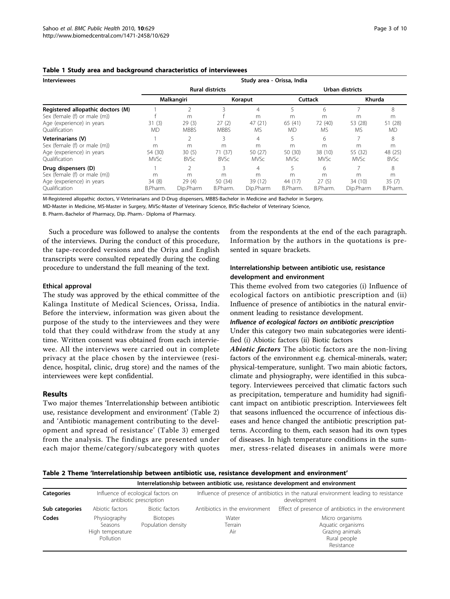| <b>Interviewees</b>                                                                                             | Study area - Orissa, India  |                                           |                                 |                                  |                                  |                                  |                             |                                  |
|-----------------------------------------------------------------------------------------------------------------|-----------------------------|-------------------------------------------|---------------------------------|----------------------------------|----------------------------------|----------------------------------|-----------------------------|----------------------------------|
|                                                                                                                 | <b>Rural districts</b>      |                                           |                                 |                                  | Urban districts                  |                                  |                             |                                  |
|                                                                                                                 | Malkangiri                  |                                           | Koraput                         |                                  | Cuttack                          |                                  | Khurda                      |                                  |
| Registered allopathic doctors (M)<br>Sex (female (f) or male (m))<br>Age (experience) in years<br>Oualification | 31(3)<br>МD                 | 2<br>m<br>29(3)<br><b>MBBS</b>            | 27(2)<br><b>MBBS</b>            | 4<br>m<br>47(21)<br><b>MS</b>    | m<br>65(41)<br><b>MD</b>         | 6<br>m<br>72 (40)<br><b>MS</b>   | m<br>53 (28)<br>MS.         | 8<br>m<br>51 (28)<br><b>MD</b>   |
| <b>Veterinarians (V)</b><br>Sex (female (f) or male (m))<br>Age (experience) in years<br>Oualification          | m<br>54 (30)<br><b>MVSc</b> | 2<br>m<br>30(5)<br><b>BVSc</b>            | 3<br>m<br>71(37)<br><b>BVSc</b> | 4<br>m<br>50 (27)<br><b>MVSc</b> | 5<br>m<br>50 (30)<br><b>MVSc</b> | 6<br>m<br>38 (10)<br><b>MVSc</b> | m<br>55 (32)<br><b>MVSc</b> | 8<br>m<br>48 (25)<br><b>BVSc</b> |
| Drug dispensers (D)<br>Sex (female (f) or male (m))<br>Age (experience) in years<br>Oualification               | m<br>34(8)<br>B.Pharm.      | $\mathfrak{D}$<br>m<br>29(4)<br>Dip.Pharm | 3<br>m<br>50 (34)<br>B.Pharm.   | 4<br>m<br>39 (12)<br>Dip.Pharm   | 5<br>m<br>44 (17)<br>B.Pharm.    | 6<br>m<br>27(5)<br>B.Pharm.      | m<br>34 (10)<br>Dip.Pharm   | 8<br>m<br>35(7)<br>B.Pharm.      |

#### <span id="page-2-0"></span>Table 1 Study area and background characteristics of interviewees

M-Registered allopathic doctors, V-Veterinarians and D-Drug dispensers, MBBS-Bachelor in Medicine and Bachelor in Surgery, MD-Master in Medicine, MS-Master in Surgery, MVSc-Master of Veterinary Science, BVSc-Bachelor of Veterinary Science,

B. Pharm.-Bachelor of Pharmacy, Dip. Pharm.- Diploma of Pharmacy.

Such a procedure was followed to analyse the contents of the interviews. During the conduct of this procedure, the tape-recorded versions and the Oriya and English transcripts were consulted repeatedly during the coding procedure to understand the full meaning of the text.

#### Ethical approval

The study was approved by the ethical committee of the Kalinga Institute of Medical Sciences, Orissa, India. Before the interview, information was given about the purpose of the study to the interviewees and they were told that they could withdraw from the study at any time. Written consent was obtained from each interviewee. All the interviews were carried out in complete privacy at the place chosen by the interviewee (residence, hospital, clinic, drug store) and the names of the interviewees were kept confidential.

#### Results

Two major themes 'Interrelationship between antibiotic use, resistance development and environment' (Table 2) and 'Antibiotic management contributing to the development and spread of resistance' (Table [3](#page-3-0)) emerged from the analysis. The findings are presented under each major theme/category/subcategory with quotes from the respondents at the end of the each paragraph. Information by the authors in the quotations is presented in square brackets.

## Interrelationship between antibiotic use, resistance development and environment

This theme evolved from two categories (i) Influence of ecological factors on antibiotic prescription and (ii) Influence of presence of antibiotics in the natural environment leading to resistance development.

Influence of ecological factors on antibiotic prescription

Under this category two main subcategories were identified (i) Abiotic factors (ii) Biotic factors

Abiotic factors The abiotic factors are the non-living factors of the environment e.g. chemical-minerals, water; physical-temperature, sunlight. Two main abiotic factors, climate and physiography, were identified in this subcategory. Interviewees perceived that climatic factors such as precipitation, temperature and humidity had significant impact on antibiotic prescription. Interviewees felt that seasons influenced the occurrence of infectious diseases and hence changed the antibiotic prescription patterns. According to them, each season had its own types of diseases. In high temperature conditions in the summer, stress-related diseases in animals were more

Table 2 Theme 'Interrelationship between antibiotic use, resistance development and environment'

|                   |                                                          |                                                               |                                                                                                      | Interrelationship between antibiotic use, resistance development and environment      |  |  |
|-------------------|----------------------------------------------------------|---------------------------------------------------------------|------------------------------------------------------------------------------------------------------|---------------------------------------------------------------------------------------|--|--|
| <b>Categories</b> |                                                          | Influence of ecological factors on<br>antibiotic prescription | Influence of presence of antibiotics in the natural environment leading to resistance<br>development |                                                                                       |  |  |
| Sub categories    | Abiotic factors                                          | Biotic factors                                                | Antibiotics in the environment                                                                       | Effect of presence of antibiotics in the environment                                  |  |  |
| Codes             | Physiography<br>Seasons<br>High temperature<br>Pollution | Biotopes<br>Population density                                | Water<br>Terrain<br>Air                                                                              | Micro organisms<br>Aquatic organisms<br>Grazing animals<br>Rural people<br>Resistance |  |  |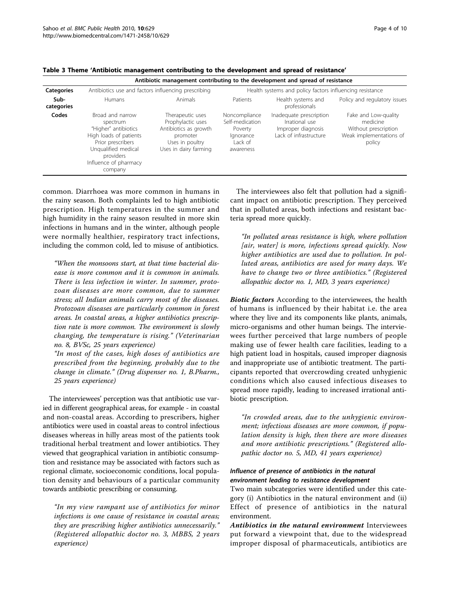|                    | Antibiotic management contributing to the development and spread of resistance                                                                                              |                                                                                                                        |                                                                                  |                                                                                           |                                                                                               |  |  |  |
|--------------------|-----------------------------------------------------------------------------------------------------------------------------------------------------------------------------|------------------------------------------------------------------------------------------------------------------------|----------------------------------------------------------------------------------|-------------------------------------------------------------------------------------------|-----------------------------------------------------------------------------------------------|--|--|--|
| <b>Categories</b>  | Antibiotics use and factors influencing prescribing                                                                                                                         |                                                                                                                        | Health systems and policy factors influencing resistance                         |                                                                                           |                                                                                               |  |  |  |
| Sub-<br>categories | <b>Humans</b>                                                                                                                                                               | Animals                                                                                                                | Patients                                                                         | Health systems and<br>professionals                                                       | Policy and regulatory issues                                                                  |  |  |  |
| Codes              | Broad and narrow<br>spectrum<br>"Higher" antibiotics<br>High loads of patients<br>Prior prescribers<br>Ungualified medical<br>providers<br>Influence of pharmacy<br>company | Therapeutic uses<br>Prophylactic uses<br>Antibiotics as growth<br>promoter<br>Uses in poultry<br>Uses in dairy farming | Noncompliance<br>Self-medication<br>Poverty<br>lgnorance<br>Lack of<br>awareness | Inadequate prescription<br>Irrational use<br>Improper diagnosis<br>Lack of infrastructure | Fake and Low-quality<br>medicine<br>Without prescription<br>Weak implementations of<br>policy |  |  |  |

<span id="page-3-0"></span>Table 3 Theme 'Antibiotic management contributing to the development and spread of resistance'

common. Diarrhoea was more common in humans in the rainy season. Both complaints led to high antibiotic prescription. High temperatures in the summer and high humidity in the rainy season resulted in more skin infections in humans and in the winter, although people were normally healthier, respiratory tract infections, including the common cold, led to misuse of antibiotics.

"When the monsoons start, at that time bacterial disease is more common and it is common in animals. There is less infection in winter. In summer, protozoan diseases are more common, due to summer stress; all Indian animals carry most of the diseases. Protozoan diseases are particularly common in forest areas. In coastal areas, a higher antibiotics prescription rate is more common. The environment is slowly changing, the temperature is rising." (Veterinarian no. 8, BVSc, 25 years experience)

"In most of the cases, high doses of antibiotics are prescribed from the beginning, probably due to the change in climate." (Drug dispenser no. 1, B.Pharm., 25 years experience)

The interviewees' perception was that antibiotic use varied in different geographical areas, for example - in coastal and non-coastal areas. According to prescribers, higher antibiotics were used in coastal areas to control infectious diseases whereas in hilly areas most of the patients took traditional herbal treatment and lower antibiotics. They viewed that geographical variation in antibiotic consumption and resistance may be associated with factors such as regional climate, socioeconomic conditions, local population density and behaviours of a particular community towards antibiotic prescribing or consuming.

"In my view rampant use of antibiotics for minor infections is one cause of resistance in coastal areas; they are prescribing higher antibiotics unnecessarily." (Registered allopathic doctor no. 3, MBBS, 2 years experience)

The interviewees also felt that pollution had a significant impact on antibiotic prescription. They perceived that in polluted areas, both infections and resistant bacteria spread more quickly.

"In polluted areas resistance is high, where pollution [air, water] is more, infections spread quickly. Now higher antibiotics are used due to pollution. In polluted areas, antibiotics are used for many days. We have to change two or three antibiotics." (Registered allopathic doctor no. 1, MD, 3 years experience)

**Biotic factors** According to the interviewees, the health of humans is influenced by their habitat i.e. the area where they live and its components like plants, animals, micro-organisms and other human beings. The interviewees further perceived that large numbers of people making use of fewer health care facilities, leading to a high patient load in hospitals, caused improper diagnosis and inappropriate use of antibiotic treatment. The participants reported that overcrowding created unhygienic conditions which also caused infectious diseases to spread more rapidly, leading to increased irrational antibiotic prescription.

"In crowded areas, due to the unhygienic environment; infectious diseases are more common, if population density is high, then there are more diseases and more antibiotic prescriptions." (Registered allopathic doctor no. 5, MD, 41 years experience)

## Influence of presence of antibiotics in the natural environment leading to resistance development

Two main subcategories were identified under this category (i) Antibiotics in the natural environment and (ii) Effect of presence of antibiotics in the natural environment.

Antibiotics in the natural environment Interviewees put forward a viewpoint that, due to the widespread improper disposal of pharmaceuticals, antibiotics are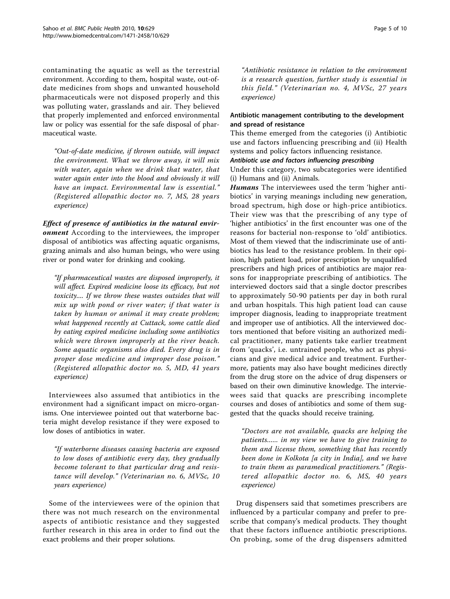contaminating the aquatic as well as the terrestrial environment. According to them, hospital waste, out-ofdate medicines from shops and unwanted household pharmaceuticals were not disposed properly and this was polluting water, grasslands and air. They believed that properly implemented and enforced environmental law or policy was essential for the safe disposal of pharmaceutical waste.

"Out-of-date medicine, if thrown outside, will impact the environment. What we throw away, it will mix with water, again when we drink that water, that water again enter into the blood and obviously it will have an impact. Environmental law is essential." (Registered allopathic doctor no. 7, MS, 28 years experience)

Effect of presence of antibiotics in the natural environment According to the interviewees, the improper disposal of antibiotics was affecting aquatic organisms, grazing animals and also human beings, who were using river or pond water for drinking and cooking.

"If pharmaceutical wastes are disposed improperly, it will affect. Expired medicine loose its efficacy, but not toxicity.... If we throw these wastes outsides that will mix up with pond or river water; if that water is taken by human or animal it may create problem; what happened recently at Cuttack, some cattle died by eating expired medicine including some antibiotics which were thrown improperly at the river beach. Some aquatic organisms also died. Every drug is in proper dose medicine and improper dose poison." (Registered allopathic doctor no. 5, MD, 41 years experience)

Interviewees also assumed that antibiotics in the environment had a significant impact on micro-organisms. One interviewee pointed out that waterborne bacteria might develop resistance if they were exposed to low doses of antibiotics in water.

"If waterborne diseases causing bacteria are exposed to low doses of antibiotic every day, they gradually become tolerant to that particular drug and resistance will develop." (Veterinarian no. 6, MVSc, 10 years experience)

Some of the interviewees were of the opinion that there was not much research on the environmental aspects of antibiotic resistance and they suggested further research in this area in order to find out the exact problems and their proper solutions.

"Antibiotic resistance in relation to the environment is a research question, further study is essential in this field." (Veterinarian no. 4, MVSc, 27 years experience)

## Antibiotic management contributing to the development and spread of resistance

This theme emerged from the categories (i) Antibiotic use and factors influencing prescribing and (ii) Health systems and policy factors influencing resistance.

Antibiotic use and factors influencing prescribing

Under this category, two subcategories were identified (i) Humans and (ii) Animals.

Humans The interviewees used the term 'higher antibiotics' in varying meanings including new generation, broad spectrum, high dose or high-price antibiotics. Their view was that the prescribing of any type of 'higher antibiotics' in the first encounter was one of the reasons for bacterial non-response to 'old' antibiotics. Most of them viewed that the indiscriminate use of antibiotics has lead to the resistance problem. In their opinion, high patient load, prior prescription by unqualified prescribers and high prices of antibiotics are major reasons for inappropriate prescribing of antibiotics. The interviewed doctors said that a single doctor prescribes to approximately 50-90 patients per day in both rural and urban hospitals. This high patient load can cause improper diagnosis, leading to inappropriate treatment and improper use of antibiotics. All the interviewed doctors mentioned that before visiting an authorized medical practitioner, many patients take earlier treatment from 'quacks', i.e. untrained people, who act as physicians and give medical advice and treatment. Furthermore, patients may also have bought medicines directly from the drug store on the advice of drug dispensers or based on their own diminutive knowledge. The interviewees said that quacks are prescribing incomplete courses and doses of antibiotics and some of them suggested that the quacks should receive training.

"Doctors are not available, quacks are helping the patients...... in my view we have to give training to them and license them, something that has recently been done in Kolkota [a city in India], and we have to train them as paramedical practitioners." (Registered allopathic doctor no. 6, MS, 40 years experience)

Drug dispensers said that sometimes prescribers are influenced by a particular company and prefer to prescribe that company's medical products. They thought that these factors influence antibiotic prescriptions. On probing, some of the drug dispensers admitted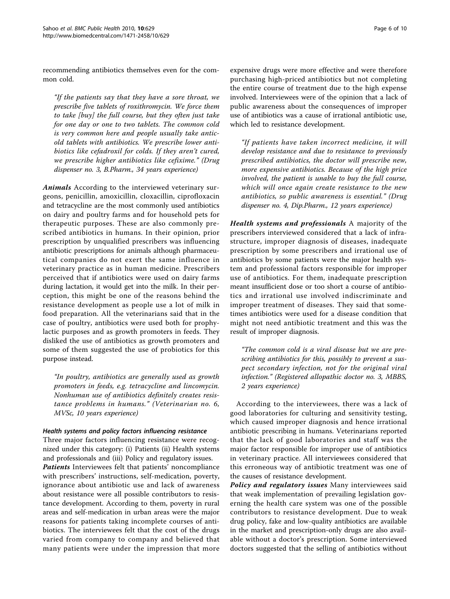recommending antibiotics themselves even for the common cold.

"If the patients say that they have a sore throat, we prescribe five tablets of roxithromycin. We force them to take [buy] the full course, but they often just take for one day or one to two tablets. The common cold is very common here and people usually take anticold tablets with antibiotics. We prescribe lower antibiotics like cefadroxil for colds. If they aren't cured, we prescribe higher antibiotics like cefixime." (Drug dispenser no. 3, B.Pharm., 34 years experience)

Animals According to the interviewed veterinary surgeons, penicillin, amoxicillin, cloxacillin, ciprofloxacin and tetracycline are the most commonly used antibiotics on dairy and poultry farms and for household pets for therapeutic purposes. These are also commonly prescribed antibiotics in humans. In their opinion, prior prescription by unqualified prescribers was influencing antibiotic prescriptions for animals although pharmaceutical companies do not exert the same influence in veterinary practice as in human medicine. Prescribers perceived that if antibiotics were used on dairy farms during lactation, it would get into the milk. In their perception, this might be one of the reasons behind the resistance development as people use a lot of milk in food preparation. All the veterinarians said that in the case of poultry, antibiotics were used both for prophylactic purposes and as growth promoters in feeds. They disliked the use of antibiotics as growth promoters and some of them suggested the use of probiotics for this purpose instead.

"In poultry, antibiotics are generally used as growth promoters in feeds, e.g. tetracycline and lincomycin. Nonhuman use of antibiotics definitely creates resistance problems in humans." (Veterinarian no. 6, MVSc, 10 years experience)

#### Health systems and policy factors influencing resistance

Three major factors influencing resistance were recognized under this category: (i) Patients (ii) Health systems and professionals and (iii) Policy and regulatory issues. Patients Interviewees felt that patients' noncompliance with prescribers' instructions, self-medication, poverty, ignorance about antibiotic use and lack of awareness about resistance were all possible contributors to resistance development. According to them, poverty in rural areas and self-medication in urban areas were the major reasons for patients taking incomplete courses of antibiotics. The interviewees felt that the cost of the drugs varied from company to company and believed that many patients were under the impression that more

expensive drugs were more effective and were therefore purchasing high-priced antibiotics but not completing the entire course of treatment due to the high expense involved. Interviewees were of the opinion that a lack of public awareness about the consequences of improper use of antibiotics was a cause of irrational antibiotic use, which led to resistance development.

"If patients have taken incorrect medicine, it will develop resistance and due to resistance to previously prescribed antibiotics, the doctor will prescribe new, more expensive antibiotics. Because of the high price involved, the patient is unable to buy the full course, which will once again create resistance to the new antibiotics, so public awareness is essential." (Drug dispenser no. 4, Dip.Pharm., 12 years experience)

Health systems and professionals A majority of the prescribers interviewed considered that a lack of infrastructure, improper diagnosis of diseases, inadequate prescription by some prescribers and irrational use of antibiotics by some patients were the major health system and professional factors responsible for improper use of antibiotics. For them, inadequate prescription meant insufficient dose or too short a course of antibiotics and irrational use involved indiscriminate and improper treatment of diseases. They said that sometimes antibiotics were used for a disease condition that might not need antibiotic treatment and this was the result of improper diagnosis.

"The common cold is a viral disease but we are prescribing antibiotics for this, possibly to prevent a suspect secondary infection, not for the original viral infection." (Registered allopathic doctor no. 3, MBBS, 2 years experience)

According to the interviewees, there was a lack of good laboratories for culturing and sensitivity testing, which caused improper diagnosis and hence irrational antibiotic prescribing in humans. Veterinarians reported that the lack of good laboratories and staff was the major factor responsible for improper use of antibiotics in veterinary practice. All interviewees considered that this erroneous way of antibiotic treatment was one of the causes of resistance development.

Policy and regulatory issues Many interviewees said that weak implementation of prevailing legislation governing the health care system was one of the possible contributors to resistance development. Due to weak drug policy, fake and low-quality antibiotics are available in the market and prescription-only drugs are also available without a doctor's prescription. Some interviewed doctors suggested that the selling of antibiotics without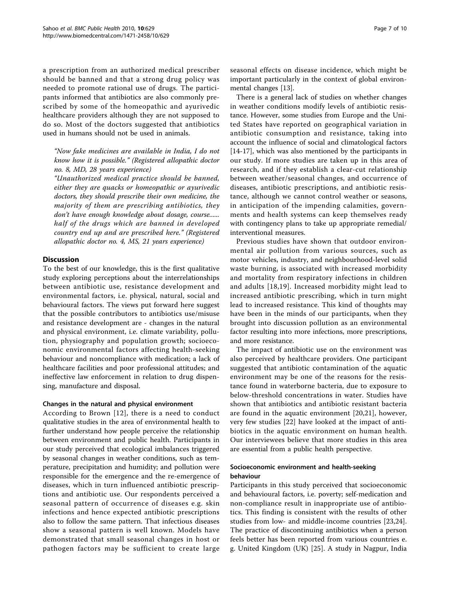a prescription from an authorized medical prescriber should be banned and that a strong drug policy was needed to promote rational use of drugs. The participants informed that antibiotics are also commonly prescribed by some of the homeopathic and ayurivedic healthcare providers although they are not supposed to do so. Most of the doctors suggested that antibiotics used in humans should not be used in animals.

"Now fake medicines are available in India, I do not know how it is possible." (Registered allopathic doctor no. 8, MD, 28 years experience)

"Unauthorized medical practice should be banned, either they are quacks or homeopathic or ayurivedic doctors, they should prescribe their own medicine, the majority of them are prescribing antibiotics, they don't have enough knowledge about dosage, course...... half of the drugs which are banned in developed country end up and are prescribed here." (Registered allopathic doctor no. 4, MS, 21 years experience)

## **Discussion**

To the best of our knowledge, this is the first qualitative study exploring perceptions about the interrelationships between antibiotic use, resistance development and environmental factors, i.e. physical, natural, social and behavioural factors. The views put forward here suggest that the possible contributors to antibiotics use/misuse and resistance development are - changes in the natural and physical environment, i.e. climate variability, pollution, physiography and population growth; socioeconomic environmental factors affecting health-seeking behaviour and noncompliance with medication; a lack of healthcare facilities and poor professional attitudes; and ineffective law enforcement in relation to drug dispensing, manufacture and disposal.

#### Changes in the natural and physical environment

According to Brown [[12](#page-8-0)], there is a need to conduct qualitative studies in the area of environmental health to further understand how people perceive the relationship between environment and public health. Participants in our study perceived that ecological imbalances triggered by seasonal changes in weather conditions, such as temperature, precipitation and humidity; and pollution were responsible for the emergence and the re-emergence of diseases, which in turn influenced antibiotic prescriptions and antibiotic use. Our respondents perceived a seasonal pattern of occurrence of diseases e.g. skin infections and hence expected antibiotic prescriptions also to follow the same pattern. That infectious diseases show a seasonal pattern is well known. Models have demonstrated that small seasonal changes in host or pathogen factors may be sufficient to create large

seasonal effects on disease incidence, which might be important particularly in the context of global environmental changes [[13](#page-8-0)].

There is a general lack of studies on whether changes in weather conditions modify levels of antibiotic resistance. However, some studies from Europe and the United States have reported on geographical variation in antibiotic consumption and resistance, taking into account the influence of social and climatological factors [[14-17\]](#page-8-0), which was also mentioned by the participants in our study. If more studies are taken up in this area of research, and if they establish a clear-cut relationship between weather/seasonal changes, and occurrence of diseases, antibiotic prescriptions, and antibiotic resistance, although we cannot control weather or seasons, in anticipation of the impending calamities, governments and health systems can keep themselves ready with contingency plans to take up appropriate remedial/ interventional measures.

Previous studies have shown that outdoor environmental air pollution from various sources, such as motor vehicles, industry, and neighbourhood-level solid waste burning, is associated with increased morbidity and mortality from respiratory infections in children and adults [[18](#page-8-0),[19](#page-8-0)]. Increased morbidity might lead to increased antibiotic prescribing, which in turn might lead to increased resistance. This kind of thoughts may have been in the minds of our participants, when they brought into discussion pollution as an environmental factor resulting into more infections, more prescriptions, and more resistance.

The impact of antibiotic use on the environment was also perceived by healthcare providers. One participant suggested that antibiotic contamination of the aquatic environment may be one of the reasons for the resistance found in waterborne bacteria, due to exposure to below-threshold concentrations in water. Studies have shown that antibiotics and antibiotic resistant bacteria are found in the aquatic environment [\[20](#page-8-0),[21\]](#page-9-0), however, very few studies [\[22](#page-9-0)] have looked at the impact of antibiotics in the aquatic environment on human health. Our interviewees believe that more studies in this area are essential from a public health perspective.

## Socioeconomic environment and health-seeking behaviour

Participants in this study perceived that socioeconomic and behavioural factors, i.e. poverty; self-medication and non-compliance result in inappropriate use of antibiotics. This finding is consistent with the results of other studies from low- and middle-income countries [\[23,24](#page-9-0)]. The practice of discontinuing antibiotics when a person feels better has been reported from various countries e. g. United Kingdom (UK) [[25\]](#page-9-0). A study in Nagpur, India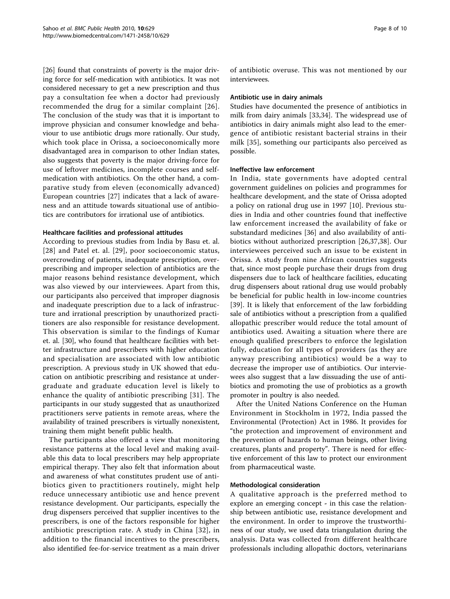[[26\]](#page-9-0) found that constraints of poverty is the major driving force for self-medication with antibiotics. It was not considered necessary to get a new prescription and thus pay a consultation fee when a doctor had previously recommended the drug for a similar complaint [[26\]](#page-9-0). The conclusion of the study was that it is important to improve physician and consumer knowledge and behaviour to use antibiotic drugs more rationally. Our study, which took place in Orissa, a socioeconomically more disadvantaged area in comparison to other Indian states, also suggests that poverty is the major driving-force for use of leftover medicines, incomplete courses and selfmedication with antibiotics. On the other hand, a comparative study from eleven (economically advanced) European countries [[27\]](#page-9-0) indicates that a lack of awareness and an attitude towards situational use of antibiotics are contributors for irrational use of antibiotics.

## Healthcare facilities and professional attitudes

According to previous studies from India by Basu et. al. [[28](#page-9-0)] and Patel et. al. [[29\]](#page-9-0), poor socioeconomic status, overcrowding of patients, inadequate prescription, overprescribing and improper selection of antibiotics are the major reasons behind resistance development, which was also viewed by our interviewees. Apart from this, our participants also perceived that improper diagnosis and inadequate prescription due to a lack of infrastructure and irrational prescription by unauthorized practitioners are also responsible for resistance development. This observation is similar to the findings of Kumar et. al. [\[30](#page-9-0)], who found that healthcare facilities with better infrastructure and prescribers with higher education and specialisation are associated with low antibiotic prescription. A previous study in UK showed that education on antibiotic prescribing and resistance at undergraduate and graduate education level is likely to enhance the quality of antibiotic prescribing [[31\]](#page-9-0). The participants in our study suggested that as unauthorized practitioners serve patients in remote areas, where the availability of trained prescribers is virtually nonexistent, training them might benefit public health.

The participants also offered a view that monitoring resistance patterns at the local level and making available this data to local prescribers may help appropriate empirical therapy. They also felt that information about and awareness of what constitutes prudent use of antibiotics given to practitioners routinely, might help reduce unnecessary antibiotic use and hence prevent resistance development. Our participants, especially the drug dispensers perceived that supplier incentives to the prescribers, is one of the factors responsible for higher antibiotic prescription rate. A study in China [[32\]](#page-9-0), in addition to the financial incentives to the prescribers, also identified fee-for-service treatment as a main driver of antibiotic overuse. This was not mentioned by our interviewees.

#### Antibiotic use in dairy animals

Studies have documented the presence of antibiotics in milk from dairy animals [[33,34\]](#page-9-0). The widespread use of antibiotics in dairy animals might also lead to the emergence of antibiotic resistant bacterial strains in their milk [[35](#page-9-0)], something our participants also perceived as possible.

#### Ineffective law enforcement

In India, state governments have adopted central government guidelines on policies and programmes for healthcare development, and the state of Orissa adopted a policy on rational drug use in 1997 [[10\]](#page-8-0). Previous studies in India and other countries found that ineffective law enforcement increased the availability of fake or substandard medicines [\[36\]](#page-9-0) and also availability of antibiotics without authorized prescription [[26,37](#page-9-0),[38\]](#page-9-0). Our interviewees perceived such an issue to be existent in Orissa. A study from nine African countries suggests that, since most people purchase their drugs from drug dispensers due to lack of healthcare facilities, educating drug dispensers about rational drug use would probably be beneficial for public health in low-income countries [[39](#page-9-0)]. It is likely that enforcement of the law forbidding sale of antibiotics without a prescription from a qualified allopathic prescriber would reduce the total amount of antibiotics used. Awaiting a situation where there are enough qualified prescribers to enforce the legislation fully, education for all types of providers (as they are anyway prescribing antibiotics) would be a way to decrease the improper use of antibiotics. Our interviewees also suggest that a law dissuading the use of antibiotics and promoting the use of probiotics as a growth promoter in poultry is also needed.

After the United Nations Conference on the Human Environment in Stockholm in 1972, India passed the Environmental (Protection) Act in 1986. It provides for "the protection and improvement of environment and the prevention of hazards to human beings, other living creatures, plants and property". There is need for effective enforcement of this law to protect our environment from pharmaceutical waste.

#### Methodological consideration

A qualitative approach is the preferred method to explore an emerging concept - in this case the relationship between antibiotic use, resistance development and the environment. In order to improve the trustworthiness of our study, we used data triangulation during the analysis. Data was collected from different healthcare professionals including allopathic doctors, veterinarians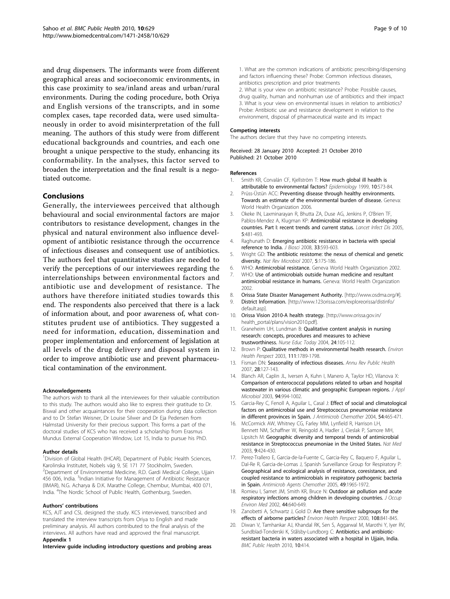<span id="page-8-0"></span>and drug dispensers. The informants were from different geographical areas and socioeconomic environments, in this case proximity to sea/inland areas and urban/rural environments. During the coding procedure, both Oriya and English versions of the transcripts, and in some complex cases, tape recorded data, were used simultaneously in order to avoid misinterpretation of the full meaning. The authors of this study were from different educational backgrounds and countries, and each one brought a unique perspective to the study, enhancing its conformability. In the analyses, this factor served to broaden the interpretation and the final result is a negotiated outcome.

#### Conclusions

Generally, the interviewees perceived that although behavioural and social environmental factors are major contributors to resistance development, changes in the physical and natural environment also influence development of antibiotic resistance through the occurrence of infectious diseases and consequent use of antibiotics. The authors feel that quantitative studies are needed to verify the perceptions of our interviewees regarding the interrelationships between environmental factors and antibiotic use and development of resistance. The authors have therefore initiated studies towards this end. The respondents also perceived that there is a lack of information about, and poor awareness of, what constitutes prudent use of antibiotics. They suggested a need for information, education, dissemination and proper implementation and enforcement of legislation at all levels of the drug delivery and disposal system in order to improve antibiotic use and prevent pharmaceutical contamination of the environment.

#### Acknowledgements

The authors wish to thank all the interviewees for their valuable contribution to this study. The authors would also like to express their gratitude to Dr. Biswal and other acquaintances for their cooperation during data collection and to Dr Stefan Weisner. Dr Louise Silwer and Dr Fia Pedersen from Halmstad University for their precious support. This forms a part of the doctoral studies of KCS who has received a scholarship from Erasmus Mundus External Cooperation Window, Lot 15, India to pursue his PhD.

#### Author details

<sup>1</sup> Division of Global Health (IHCAR), Department of Public Health Sciences, Karolinska Institutet, Nobels väg 9, SE 171 77 Stockholm, Sweden. <sup>2</sup>Department of Environmental Medicine, R.D. Gardi Medical College, Ujjain 456 006, India. <sup>3</sup>Indian Initiative for Management of Antibiotic Resistance (IIMAR), N.G. Acharya & D.K. Marathe College, Chembur, Mumbai, 400 071, India. <sup>4</sup> The Nordic School of Public Health, Gothenburg, Sweden.

#### Authors' contributions

KCS, AJT and CSL designed the study. KCS interviewed, transcribed and translated the interview transcripts from Oriya to English and made preliminary analysis. All authors contributed to the final analysis of the interviews. All authors have read and approved the final manuscript. Appendix 1

Interview guide including introductory questions and probing areas

1. What are the common indications of antibiotic prescribing/dispensing and factors influencing these? Probe: Common infectious diseases, antibiotics prescription and prior treatments

2. What is your view on antibiotic resistance? Probe: Possible causes, drug quality, human and nonhuman use of antibiotics and their impact 3. What is your view on environmental issues in relation to antibiotics? Probe: Antibiotic use and resistance development in relation to the environment, disposal of pharmaceutical waste and its impact

#### Competing interests

The authors declare that they have no competing interests.

Received: 28 January 2010 Accepted: 21 October 2010 Published: 21 October 2010

#### References

- 1. Smith KR, Corvalán CF, Kjellström T: [How much global ill health is](http://www.ncbi.nlm.nih.gov/pubmed/10468437?dopt=Abstract) [attributable to environmental factors?](http://www.ncbi.nlm.nih.gov/pubmed/10468437?dopt=Abstract) Epidemiology 1999, 10:573-84.
- 2. Prüss-Üstün ACC: Preventing disease through healthy environments. Towards an estimate of the environmental burden of disease. Geneva: World Health Organization 2006.
- 3. Okeke IN, Laxminarayan R, Bhutta ZA, Duse AG, Jenkins P, O'Brien TF, Pablos-Mendez A, Klugman KP: [Antimicrobial resistance in developing](http://www.ncbi.nlm.nih.gov/pubmed/16048717?dopt=Abstract) [countries. Part I: recent trends and current status.](http://www.ncbi.nlm.nih.gov/pubmed/16048717?dopt=Abstract) Lancet Infect Dis 2005, 5:481-493.
- 4. Raghunath D: [Emerging antibiotic resistance in bacteria with special](http://www.ncbi.nlm.nih.gov/pubmed/19208984?dopt=Abstract) [reference to India.](http://www.ncbi.nlm.nih.gov/pubmed/19208984?dopt=Abstract) J Biosci 2008, 33:593-603.
- 5. Wright GD: [The antibiotic resistome: the nexus of chemical and genetic](http://www.ncbi.nlm.nih.gov/pubmed/17277795?dopt=Abstract) [diversity.](http://www.ncbi.nlm.nih.gov/pubmed/17277795?dopt=Abstract) Nat Rev Microbiol 2007, 5:175-186.
- 6. WHO: Antimicrobial resistance. Geneva World Health Organization 2002.
- WHO: Use of antimicrobials outside human medicine and resultant antimicrobial resistance in humans. Geneva: World Health Organization 2002.
- 8. Orissa State Disaster Management Authority. [\[http://www.osdma.org/#](http://www.osdma.org/#)].
- 9. District Information. [\[http://www.123orissa.com/exploreorissa/distinfo/](http://www.123orissa.com/exploreorissa/distinfo/default.asp) [default.asp](http://www.123orissa.com/exploreorissa/distinfo/default.asp)].
- 10. Orissa Vision 2010-A health strategy. [[http://www.orissa.gov.in/](http://www.orissa.gov.in/health_portal/plans/vision2010.pdf) health\_portal/plans/vision2010.pdfl.
- 11. Graneheim UH, Lundman B: [Qualitative content analysis in nursing](http://www.ncbi.nlm.nih.gov/pubmed/14769454?dopt=Abstract) [research: concepts, procedures and measures to achieve](http://www.ncbi.nlm.nih.gov/pubmed/14769454?dopt=Abstract) [trustworthiness.](http://www.ncbi.nlm.nih.gov/pubmed/14769454?dopt=Abstract) Nurse Educ Today 2004, 24:105-112.
- 12. Brown P: [Qualitative methods in environmental health research.](http://www.ncbi.nlm.nih.gov/pubmed/14594634?dopt=Abstract) Environ Health Perspect 2003, 111:1789-1798.
- 13. Fisman DN: [Seasonality of infectious diseases.](http://www.ncbi.nlm.nih.gov/pubmed/17222079?dopt=Abstract) Annu Rev Public Health 2007, 28:127-143.
- 14. Blanch AR, Caplin JL, Iversen A, Kuhn I, Manero A, Taylor HD, Vilanova X: [Comparison of enterococcal populations related to urban and hospital](http://www.ncbi.nlm.nih.gov/pubmed/12752807?dopt=Abstract) [wastewater in various climatic and geographic European regions.](http://www.ncbi.nlm.nih.gov/pubmed/12752807?dopt=Abstract) J Appl Microbiol 2003, 94:994-1002.
- 15. Garcia-Rey C, Fenoll A, Aguilar L, Casal J: [Effect of social and climatological](http://www.ncbi.nlm.nih.gov/pubmed/15269198?dopt=Abstract) [factors on antimicrobial use and Streptococcus pneumoniae resistance](http://www.ncbi.nlm.nih.gov/pubmed/15269198?dopt=Abstract) [in different provinces in Spain.](http://www.ncbi.nlm.nih.gov/pubmed/15269198?dopt=Abstract) J Antimicrob Chemother 2004, 54:465-471.
- 16. McCormick AW, Whitney CG, Farley MM, Lynfield R, Harrison LH, Bennett NM, Schaffner W, Reingold A, Hadler J, Cieslak P, Samore MH, Lipsitch M: [Geographic diversity and temporal trends of antimicrobial](http://www.ncbi.nlm.nih.gov/pubmed/12627227?dopt=Abstract) [resistance in Streptococcus pneumoniae in the United States.](http://www.ncbi.nlm.nih.gov/pubmed/12627227?dopt=Abstract) Nat Med 2003, 9:424-430.
- 17. Perez-Trallero E, Garcia-de-la-Fuente C, Garcia-Rey C, Baquero F, Aguilar L, Dal-Re R, Garcia-de-Lomas J, Spanish Surveillance Group for Respiratory P: [Geographical and ecological analysis of resistance, coresistance, and](http://www.ncbi.nlm.nih.gov/pubmed/15855520?dopt=Abstract) [coupled resistance to antimicrobials in respiratory pathogenic bacteria](http://www.ncbi.nlm.nih.gov/pubmed/15855520?dopt=Abstract) [in Spain.](http://www.ncbi.nlm.nih.gov/pubmed/15855520?dopt=Abstract) Antimicrob Agents Chemother 2005, 49:1965-1972.
- 18. Romieu I, Samet JM, Smith KR, Bruce N: [Outdoor air pollution and acute](http://www.ncbi.nlm.nih.gov/pubmed/12134528?dopt=Abstract) [respiratory infections among children in developing countries.](http://www.ncbi.nlm.nih.gov/pubmed/12134528?dopt=Abstract) J Occup Environ Med 2002, 44:640-649.
- 19. Zanobetti A, Schwartz J, Gold D: [Are there sensitive subgroups for the](http://www.ncbi.nlm.nih.gov/pubmed/11017888?dopt=Abstract) [effects of airborne particles?](http://www.ncbi.nlm.nih.gov/pubmed/11017888?dopt=Abstract) Environ Health Perspect 2000, 108:841-845.
- 20. Diwan V, Tamhankar AJ, Khandal RK, Sen S, Aggarwal M, Marothi Y, Iyer RV, Sundblad-Tonderski K, Stålsby-Lundborg C: [Antibiotics and antibiotic](http://www.ncbi.nlm.nih.gov/pubmed/20626873?dopt=Abstract)[resistant bacteria in waters associated with a hospital in Ujjain, India.](http://www.ncbi.nlm.nih.gov/pubmed/20626873?dopt=Abstract) BMC Public Health 2010, 10:414.